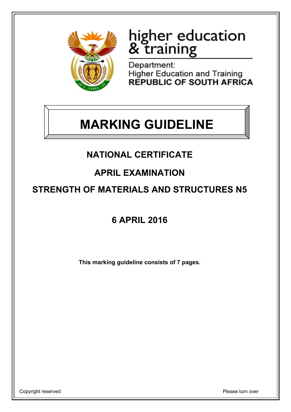

# higher education<br>& training

Department: Higher Education and Training<br>REPUBLIC OF SOUTH AFRICA

## **MARKING GUIDELINE**

## **NATIONAL CERTIFICATE**

## **APRIL EXAMINATION**

### **STRENGTH OF MATERIALS AND STRUCTURES N5**

## **6 APRIL 2016**

**This marking guideline consists of 7 pages.**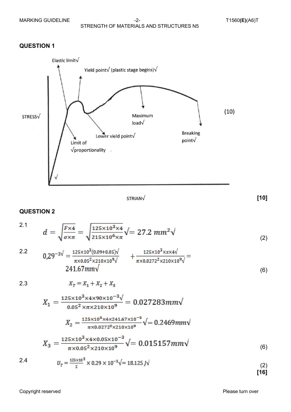

STRIAN√

**[10]**

(6)

(6)

#### **QUESTION 2**

 $d = \sqrt{\frac{F \times 4}{\sigma \times \pi}} = \sqrt{\frac{125 \times 10^3 \times 4}{215 \times 10^6 \times \pi}} \sqrt{27.2 \, mm^2} \sqrt{27.2 \, mm^2}$ 2.1 (2)  $0.29^{-3\sqrt{}} = \frac{125 \times 10^3 (0.09 + 0.05) \sqrt{}}{\pi \times 0.05^2 \times 210 \times 10^9 \sqrt{}}$   $+ \frac{125 \times 10^3 \times x \times 4 \sqrt{}}{\pi \times 0.0272^2 \times 210 \times 10^9 \sqrt{}}$  = 2.2

2.3

 $X_T = X_1 + X_2 + X_3$ 

$$
X_1 = \frac{125 \times 10^3 \times 4 \times 90 \times 10^{-3} \sqrt{10}}{0.05^2 \times \pi \times 210 \times 10^9} = 0.027283 \text{mm} \sqrt{10^{-10} \text{ m}^2/\left(\frac{125 \times 10^3 \times 4 \times 241.67 \times 10^{-3}}{\pi \times 0.0272^2 \times 210 \times 10^9}\right)}} = 0.2469 \text{mm}
$$
  

$$
X_3 = \frac{125 \times 10^3 \times 4 \times 0.05 \times 10^{-3}}{\pi \times 0.05^2 \times 210 \times 10^9} \sqrt{100} = 0.015157 \text{mm}
$$

2.4 
$$
U_T = \frac{125 \times 10^3}{2} \times 0.29 \times 10^{-3} \sqrt{=} 18.125 \text{ J} \sqrt{\hspace{2cm}} (2)
$$

Copyright reserved **Please turn over the Copyright reserved** Please turn over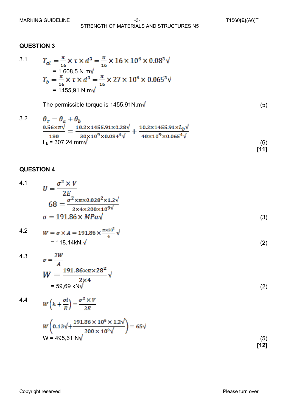3.1 
$$
T_{al} = \frac{\pi}{16} \times \tau \times d^{3} = \frac{\pi}{16} \times 16 \times 10^{6} \times 0.08^{3} \sqrt{\tau}
$$
  
\n= 1 608,5 N.m $\sqrt{\tau}$   
\n
$$
T_{b} = \frac{\pi}{16} \times \tau \times d^{3} = \frac{\pi}{16} \times 27 \times 10^{6} \times 0.065^{3} \sqrt{\tau}
$$
  
\n= 1455,91 N.m $\sqrt{\tau}$ 

The permissible torque is  $1455.91$ N.m $\sqrt{ }$  (5)

3.2 
$$
\theta_{T} = \theta_{a} + \theta_{b}
$$
  
\n
$$
\frac{0.56 \times \pi \sqrt{}}{180} = \frac{10.2 \times 1455.91 \times 0.28 \sqrt{}}{30 \times 10^{9} \times 0.084^{4} \sqrt{}} + \frac{10.2 \times 1455.91 \times L_{b} \sqrt{}}{40 \times 10^{9} \times 0.065^{4} \sqrt{}}
$$
  
\n
$$
L_{b} = 307,24 \text{ mm} \sqrt{}
$$
\n(6)

#### **QUESTION 4**

4.1 
$$
U = \frac{\sigma^2 \times V}{2E}
$$
  
\n
$$
68 = \frac{\sigma^2 \times \pi \times 0.028^2 \times 1.2 \sqrt{1.00 \times 10^9}}{2 \times 4 \times 200 \times 10^{9} \sqrt{1.00 \times 10^9}}
$$
  
\n
$$
\sigma = 191.86 \times MPa\sqrt{1.00 \times 10^9}
$$
 (3)

4.2 
$$
W = \sigma \times A = 191.86 \times \frac{\pi \times 28^2}{4} \sqrt{ }
$$
  
= 118,14kN.\sqrt{2} (2)

4.3 
$$
\sigma = \frac{2W}{A}
$$
  
\n
$$
W = \frac{191.86 \times \pi \times 28^{2}}{2 \times 4} \sqrt{ }
$$
  
\n= 59,69 kN $\sqrt{ }$  (2)

4.4  
\n
$$
W\left(h + \frac{\sigma l}{E}\right) = \frac{\sigma^2 \times V}{2E}
$$
\n
$$
W\left(0.13\sqrt{1 + \frac{191.86 \times 10^6 \times 1.2\sqrt{19}}{200 \times 10^9 \sqrt{19}}}\right) = 65\sqrt{15}
$$
\n
$$
W = 495,61 \text{ N}\sqrt{15}
$$
\n(5)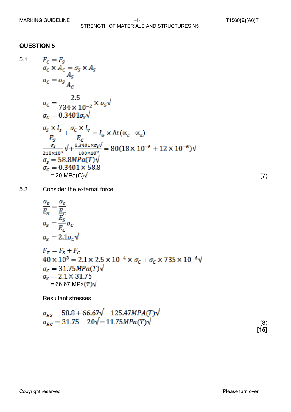5.1 
$$
F_c = F_s
$$
  
\n
$$
\sigma_c \times A_c = \sigma_s \times A_s
$$
  
\n
$$
\sigma_c = \sigma_s \frac{A_s}{A_c}
$$
  
\n
$$
\sigma_c = \frac{2.5}{734 \times 10^{-2}} \times \sigma_s \sqrt{\sigma_c = 0.3401 \sigma_s \sqrt{\sigma_c = 0.3401 \sigma_s \sqrt{\sigma_c = 0.3401 \sigma_s \sqrt{\sigma_c = 0.3401 \sigma_s \sigma_s}}}
$$
  
\n
$$
\frac{\sigma_s \times l_s}{E_s} + \frac{\sigma_c \times l_c}{E_c} = l_o \times \Delta t (\alpha_c - \alpha_s)
$$
  
\n
$$
\frac{\sigma_s}{\sigma_s = 58.8MPa(T) \sqrt{\sigma_c = 0.3401 \times 58.8}}
$$
  
\n= 20 MPa(C) $\sqrt{\ }$  (7)

5.2 Consider the external force

$$
\frac{\sigma_s}{E_S} = \frac{\sigma_c}{E_c}
$$
\n
$$
\sigma_S = \frac{E_S}{E_c} \sigma_c
$$
\n
$$
\sigma_S = 2.1 \sigma_c \sqrt{\sigma_S = 2.1 \sigma_c \sqrt{\sigma_S = 2.1 \times 2.5 \times 10^{-4} \times \sigma_c + \sigma_c \times 735 \times 10^{-6} \sqrt{\sigma_c = 31.75 MPa(T) \sqrt{\sigma_S = 2.1 \times 31.75}}
$$
\n
$$
\sigma_S = 66.67 MPa(T) \sqrt{\sigma_S = 66.67 MPa(T) \sqrt{\sigma_S = 66.67 MPa(T) \sqrt{\sigma_S = 66.67 MPa(T) \sqrt{\sigma_S = 66.67 MPa(T) \sqrt{\sigma_S = 66.67 MPa(T) \sqrt{\sigma_S = 66.67 MPa(T) \sqrt{\sigma_S = 66.67 MPa(T) \sqrt{\sigma_S = 66.67 MPa(T) \sqrt{\sigma_S = 66.67 MPa(T) \sqrt{\sigma_S = 66.67 MPa(T) \sqrt{\sigma_S = 66.67 MPa(T) \sqrt{\sigma_S = 66.67 MPa(T) \sqrt{\sigma_S = 66.67 MPa(T) \sqrt{\sigma_S = 66.67 MPa(T) \sqrt{\sigma_S = 66.67 MPa(T) \sqrt{\sigma_S = 66.67 MPa(T) \sqrt{\sigma_S = 66.67 MPa(T) \sqrt{\sigma_S = 66.67 MPa(T) \sqrt{\sigma_S = 66.67 MPa(T) \sqrt{\sigma_S = 66.67 MPa(T) \sqrt{\sigma_S = 66.67 MPa(T) \sqrt{\sigma_S = 66.67 MPa(T) \sqrt{\sigma_S = 66.67 MPa(T) \sqrt{\sigma_S = 66.67 MPa(T) \sqrt{\sigma_S = 66.67 MPa(T) \sqrt{\sigma_S = 66.67 MPa(T) \sqrt{\sigma_S = 66.67 MPa(T) \sqrt{\sigma_S = 66.67 MPa(T) \sqrt{\sigma_S = 66.67 MPa(T) \sqrt{\sigma_S = 66.67 MPa(T) \sqrt{\sigma_S = 66.67 MPa(T) \sqrt{\sigma_S = 66.67 MPa(T) \sqrt{\sigma_S = 66.67 MPa(T) \sqrt{\sigma_S = 66.67 MPa(T) \sqrt{\sigma_S = 66.67 MPa(T) \sqrt{\sigma_S = 66.67 MPa(T) \sqrt{\sigma
$$

Resultant stresses

$$
\sigma_{RS} = 58.8 + 66.67\sqrt{=} 125.47MPA(T)\sqrt{\sigma_{RC}} = 31.75 - 20\sqrt{=} 11.75MPa(T)\sqrt{\tag{8}}
$$
\n(9)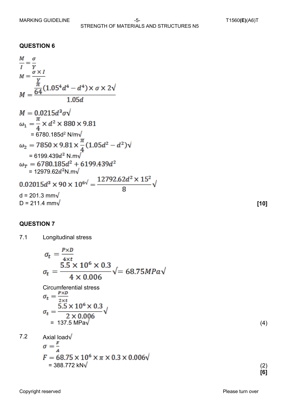= 6780.185d2 N/m = 6199.439 N.m = 12979.62 N.m d = 201.3 mm D = 211.4 mm **[10]**

#### **QUESTION 7**

7.1 Longitudinal stress

$$
\sigma_t = \frac{P \times D}{4 \times t}
$$
\n
$$
\sigma_t = \frac{5.5 \times 10^6 \times 0.3}{4 \times 0.006} \sqrt{\frac{1}{200}} = 68.75 MPa\sqrt{\frac{1}{200}}
$$
\nCircumferential stress\n
$$
\sigma_t = \frac{P \times D}{2 \times t}
$$
\n
$$
\sigma_t = \frac{5.5 \times 10^6 \times 0.3}{2 \times 0.006} \sqrt{\frac{1}{2000}} \sqrt{\frac{1}{2000}} \sqrt{\frac{1}{2000}} \sqrt{\frac{1}{2000}} \sqrt{\frac{1}{2000}} \sqrt{\frac{1}{2000}} \sqrt{\frac{1}{2000}} \sqrt{\frac{1}{2000}} \sqrt{\frac{1}{2000}} \sqrt{\frac{1}{200}} \sqrt{\frac{1}{200}} \sqrt{\frac{1}{200}} \sqrt{\frac{1}{200}} \sqrt{\frac{1}{200}} \sqrt{\frac{1}{200}} \sqrt{\frac{1}{200}} \sqrt{\frac{1}{200}} \sqrt{\frac{1}{200}} \sqrt{\frac{1}{200}} \sqrt{\frac{1}{200}} \sqrt{\frac{1}{200}} \sqrt{\frac{1}{200}} \sqrt{\frac{1}{200}} \sqrt{\frac{1}{200}} \sqrt{\frac{1}{200}} \sqrt{\frac{1}{200}} \sqrt{\frac{1}{200}} \sqrt{\frac{1}{200}} \sqrt{\frac{1}{200}} \sqrt{\frac{1}{200}} \sqrt{\frac{1}{200}} \sqrt{\frac{1}{200}} \sqrt{\frac{1}{200}} \sqrt{\frac{1}{200}} \sqrt{\frac{1}{200}} \sqrt{\frac{1}{200}} \sqrt{\frac{1}{200}} \sqrt{\frac{1}{200}} \sqrt{\frac{1}{200}} \sqrt{\frac{1}{200}} \sqrt{\frac{1}{200}} \sqrt{\frac{1}{200}} \sqrt{\frac{1}{200}} \sqrt{\frac{1}{200}} \sqrt{\frac{1}{200}} \sqrt{\frac{1}{200}} \sqrt{\frac{1}{200}} \sqrt{\frac{1}{200}} \sqrt{\frac{1}{200}} \sqrt{\frac{1}{200}} \sqrt{\frac{1}{200}} \sqrt{\frac{1}{200}} \sqrt{\frac{1}{200}} \sqrt{\frac
$$

$$
= 137.5 \text{ MPa} \sqrt{4}
$$

7.2 Axial load
$$
\sqrt{\sigma} = \frac{F}{A}
$$
  
\n
$$
F = 68.75 \times 10^6 \times \pi \times 0.3 \times 0.006\sqrt{9}
$$
\n
$$
= 388.772 \text{ kN}\sqrt{9}
$$
\n(2)

 **[6]**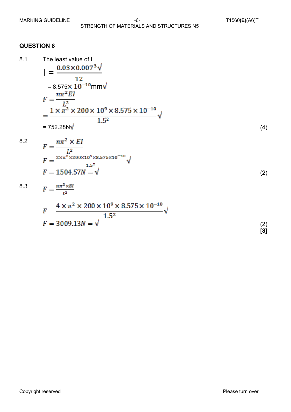8.1 The least value of 1  
\n
$$
I = \frac{0.03 \times 0.007^3 \sqrt{12}}{12}
$$
\n= 8.575×10<sup>-10</sup>mm $\sqrt{12}$   
\n
$$
F = \frac{n\pi^2 EI}{L^2}
$$
\n
$$
= \frac{1 \times \pi^2 \times 200 \times 10^9 \times 8.575 \times 10^{-10}}{1.5^2} \sqrt{157}
$$
\n= 752.28N $\sqrt{157}$  (4)

8.2 
$$
F = \frac{n\pi^2 \times EI}{L^2}
$$
  
\n
$$
F = \frac{2 \times \pi^2 \times 200 \times 10^9 \times 8.575 \times 10^{-10}}{1.5^2} \sqrt{F} = 1504.57N = \sqrt{7}
$$
 (2)

8.3 
$$
F = \frac{n\pi^2 \times EI}{L^2}
$$
  
\n
$$
F = \frac{4 \times \pi^2 \times 200 \times 10^9 \times 8.575 \times 10^{-10}}{1.5^2} \sqrt{F} = 3009.13N = \sqrt{1.5^2}
$$
 (2)